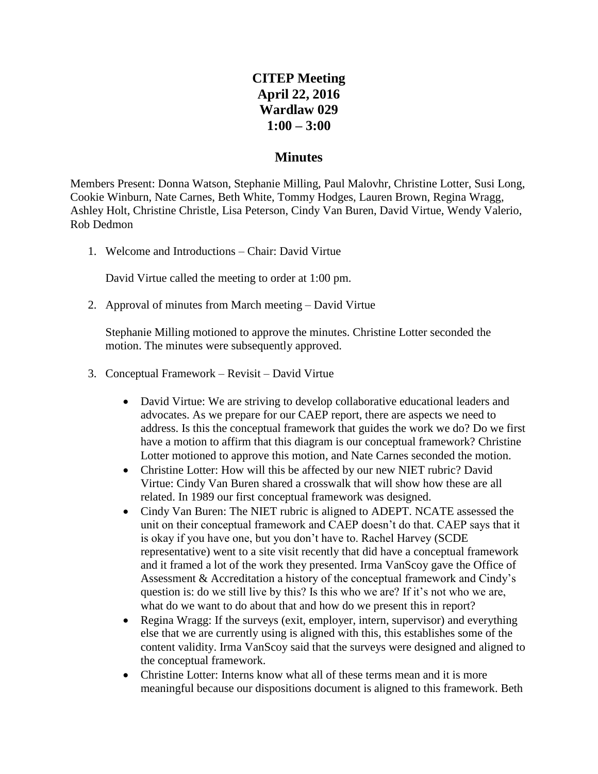## **CITEP Meeting April 22, 2016 Wardlaw 029 1:00 – 3:00**

## **Minutes**

Members Present: Donna Watson, Stephanie Milling, Paul Malovhr, Christine Lotter, Susi Long, Cookie Winburn, Nate Carnes, Beth White, Tommy Hodges, Lauren Brown, Regina Wragg, Ashley Holt, Christine Christle, Lisa Peterson, Cindy Van Buren, David Virtue, Wendy Valerio, Rob Dedmon

1. Welcome and Introductions – Chair: David Virtue

David Virtue called the meeting to order at 1:00 pm.

2. Approval of minutes from March meeting – David Virtue

Stephanie Milling motioned to approve the minutes. Christine Lotter seconded the motion. The minutes were subsequently approved.

- 3. Conceptual Framework Revisit David Virtue
	- David Virtue: We are striving to develop collaborative educational leaders and advocates. As we prepare for our CAEP report, there are aspects we need to address. Is this the conceptual framework that guides the work we do? Do we first have a motion to affirm that this diagram is our conceptual framework? Christine Lotter motioned to approve this motion, and Nate Carnes seconded the motion.
	- Christine Lotter: How will this be affected by our new NIET rubric? David Virtue: Cindy Van Buren shared a crosswalk that will show how these are all related. In 1989 our first conceptual framework was designed.
	- Cindy Van Buren: The NIET rubric is aligned to ADEPT. NCATE assessed the unit on their conceptual framework and CAEP doesn't do that. CAEP says that it is okay if you have one, but you don't have to. Rachel Harvey (SCDE representative) went to a site visit recently that did have a conceptual framework and it framed a lot of the work they presented. Irma VanScoy gave the Office of Assessment & Accreditation a history of the conceptual framework and Cindy's question is: do we still live by this? Is this who we are? If it's not who we are, what do we want to do about that and how do we present this in report?
	- Regina Wragg: If the surveys (exit, employer, intern, supervisor) and everything else that we are currently using is aligned with this, this establishes some of the content validity. Irma VanScoy said that the surveys were designed and aligned to the conceptual framework.
	- Christine Lotter: Interns know what all of these terms mean and it is more meaningful because our dispositions document is aligned to this framework. Beth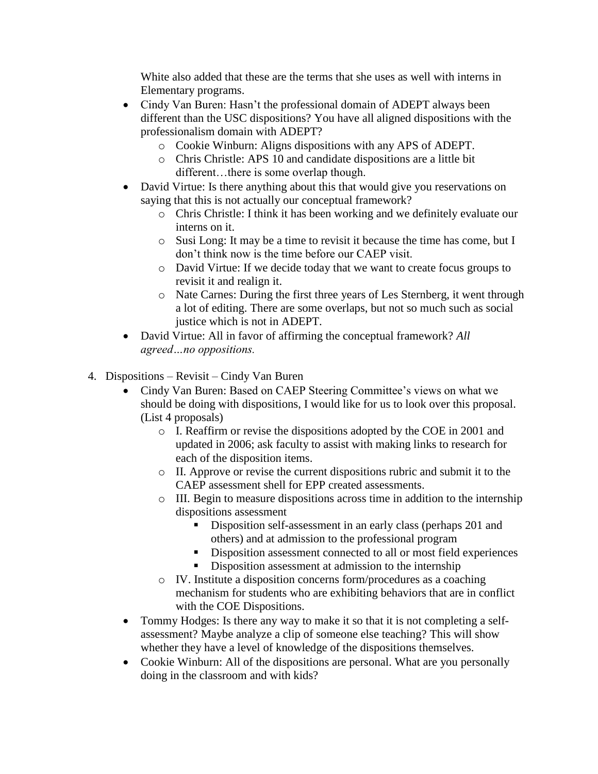White also added that these are the terms that she uses as well with interns in Elementary programs.

- Cindy Van Buren: Hasn't the professional domain of ADEPT always been different than the USC dispositions? You have all aligned dispositions with the professionalism domain with ADEPT?
	- o Cookie Winburn: Aligns dispositions with any APS of ADEPT.
	- o Chris Christle: APS 10 and candidate dispositions are a little bit different...there is some overlap though.
- David Virtue: Is there anything about this that would give you reservations on saying that this is not actually our conceptual framework?
	- o Chris Christle: I think it has been working and we definitely evaluate our interns on it.
	- o Susi Long: It may be a time to revisit it because the time has come, but I don't think now is the time before our CAEP visit.
	- o David Virtue: If we decide today that we want to create focus groups to revisit it and realign it.
	- o Nate Carnes: During the first three years of Les Sternberg, it went through a lot of editing. There are some overlaps, but not so much such as social justice which is not in ADEPT.
- David Virtue: All in favor of affirming the conceptual framework? *All agreed…no oppositions.*
- 4. Dispositions Revisit Cindy Van Buren
	- Cindy Van Buren: Based on CAEP Steering Committee's views on what we should be doing with dispositions, I would like for us to look over this proposal. (List 4 proposals)
		- o I. Reaffirm or revise the dispositions adopted by the COE in 2001 and updated in 2006; ask faculty to assist with making links to research for each of the disposition items.
		- o II. Approve or revise the current dispositions rubric and submit it to the CAEP assessment shell for EPP created assessments.
		- o III. Begin to measure dispositions across time in addition to the internship dispositions assessment
			- Disposition self-assessment in an early class (perhaps 201 and others) and at admission to the professional program
			- Disposition assessment connected to all or most field experiences
			- Disposition assessment at admission to the internship
		- o IV. Institute a disposition concerns form/procedures as a coaching mechanism for students who are exhibiting behaviors that are in conflict with the COE Dispositions.
	- Tommy Hodges: Is there any way to make it so that it is not completing a selfassessment? Maybe analyze a clip of someone else teaching? This will show whether they have a level of knowledge of the dispositions themselves.
	- Cookie Winburn: All of the dispositions are personal. What are you personally doing in the classroom and with kids?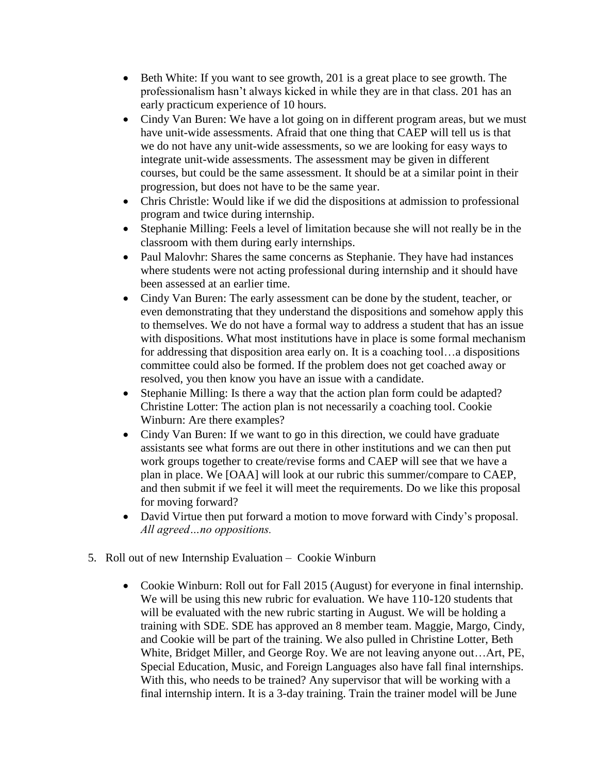- Beth White: If you want to see growth, 201 is a great place to see growth. The professionalism hasn't always kicked in while they are in that class. 201 has an early practicum experience of 10 hours.
- Cindy Van Buren: We have a lot going on in different program areas, but we must have unit-wide assessments. Afraid that one thing that CAEP will tell us is that we do not have any unit-wide assessments, so we are looking for easy ways to integrate unit-wide assessments. The assessment may be given in different courses, but could be the same assessment. It should be at a similar point in their progression, but does not have to be the same year.
- Chris Christle: Would like if we did the dispositions at admission to professional program and twice during internship.
- Stephanie Milling: Feels a level of limitation because she will not really be in the classroom with them during early internships.
- Paul Malovhr: Shares the same concerns as Stephanie. They have had instances where students were not acting professional during internship and it should have been assessed at an earlier time.
- Cindy Van Buren: The early assessment can be done by the student, teacher, or even demonstrating that they understand the dispositions and somehow apply this to themselves. We do not have a formal way to address a student that has an issue with dispositions. What most institutions have in place is some formal mechanism for addressing that disposition area early on. It is a coaching tool…a dispositions committee could also be formed. If the problem does not get coached away or resolved, you then know you have an issue with a candidate.
- Stephanie Milling: Is there a way that the action plan form could be adapted? Christine Lotter: The action plan is not necessarily a coaching tool. Cookie Winburn: Are there examples?
- Cindy Van Buren: If we want to go in this direction, we could have graduate assistants see what forms are out there in other institutions and we can then put work groups together to create/revise forms and CAEP will see that we have a plan in place. We [OAA] will look at our rubric this summer/compare to CAEP, and then submit if we feel it will meet the requirements. Do we like this proposal for moving forward?
- David Virtue then put forward a motion to move forward with Cindy's proposal. *All agreed…no oppositions.*
- 5. Roll out of new Internship Evaluation Cookie Winburn
	- Cookie Winburn: Roll out for Fall 2015 (August) for everyone in final internship. We will be using this new rubric for evaluation. We have 110-120 students that will be evaluated with the new rubric starting in August. We will be holding a training with SDE. SDE has approved an 8 member team. Maggie, Margo, Cindy, and Cookie will be part of the training. We also pulled in Christine Lotter, Beth White, Bridget Miller, and George Roy. We are not leaving anyone out…Art, PE, Special Education, Music, and Foreign Languages also have fall final internships. With this, who needs to be trained? Any supervisor that will be working with a final internship intern. It is a 3-day training. Train the trainer model will be June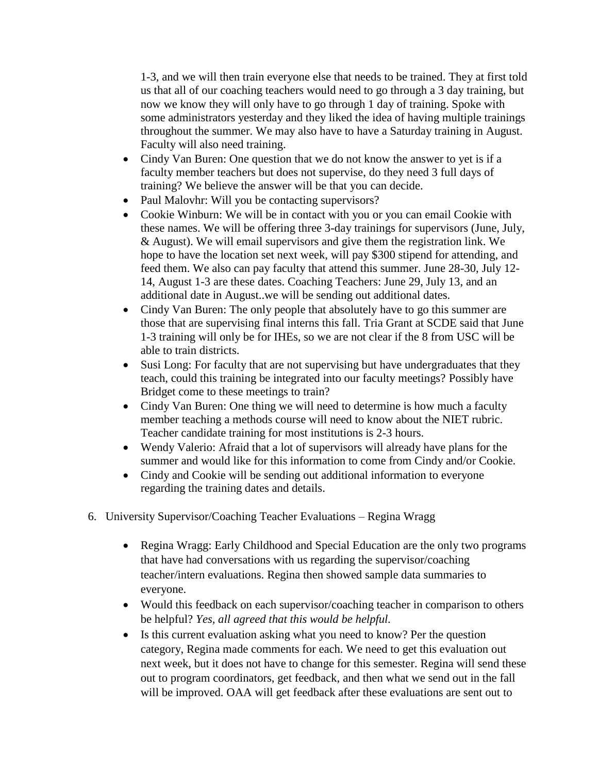1-3, and we will then train everyone else that needs to be trained. They at first told us that all of our coaching teachers would need to go through a 3 day training, but now we know they will only have to go through 1 day of training. Spoke with some administrators yesterday and they liked the idea of having multiple trainings throughout the summer. We may also have to have a Saturday training in August. Faculty will also need training.

- Cindy Van Buren: One question that we do not know the answer to yet is if a faculty member teachers but does not supervise, do they need 3 full days of training? We believe the answer will be that you can decide.
- Paul Malovhr: Will you be contacting supervisors?
- Cookie Winburn: We will be in contact with you or you can email Cookie with these names. We will be offering three 3-day trainings for supervisors (June, July, & August). We will email supervisors and give them the registration link. We hope to have the location set next week, will pay \$300 stipend for attending, and feed them. We also can pay faculty that attend this summer. June 28-30, July 12- 14, August 1-3 are these dates. Coaching Teachers: June 29, July 13, and an additional date in August..we will be sending out additional dates.
- Cindy Van Buren: The only people that absolutely have to go this summer are those that are supervising final interns this fall. Tria Grant at SCDE said that June 1-3 training will only be for IHEs, so we are not clear if the 8 from USC will be able to train districts.
- Susi Long: For faculty that are not supervising but have undergraduates that they teach, could this training be integrated into our faculty meetings? Possibly have Bridget come to these meetings to train?
- Cindy Van Buren: One thing we will need to determine is how much a faculty member teaching a methods course will need to know about the NIET rubric. Teacher candidate training for most institutions is 2-3 hours.
- Wendy Valerio: Afraid that a lot of supervisors will already have plans for the summer and would like for this information to come from Cindy and/or Cookie.
- Cindy and Cookie will be sending out additional information to everyone regarding the training dates and details.
- 6. University Supervisor/Coaching Teacher Evaluations Regina Wragg
	- Regina Wragg: Early Childhood and Special Education are the only two programs that have had conversations with us regarding the supervisor/coaching teacher/intern evaluations. Regina then showed sample data summaries to everyone.
	- Would this feedback on each supervisor/coaching teacher in comparison to others be helpful? *Yes, all agreed that this would be helpful.*
	- Is this current evaluation asking what you need to know? Per the question category, Regina made comments for each. We need to get this evaluation out next week, but it does not have to change for this semester. Regina will send these out to program coordinators, get feedback, and then what we send out in the fall will be improved. OAA will get feedback after these evaluations are sent out to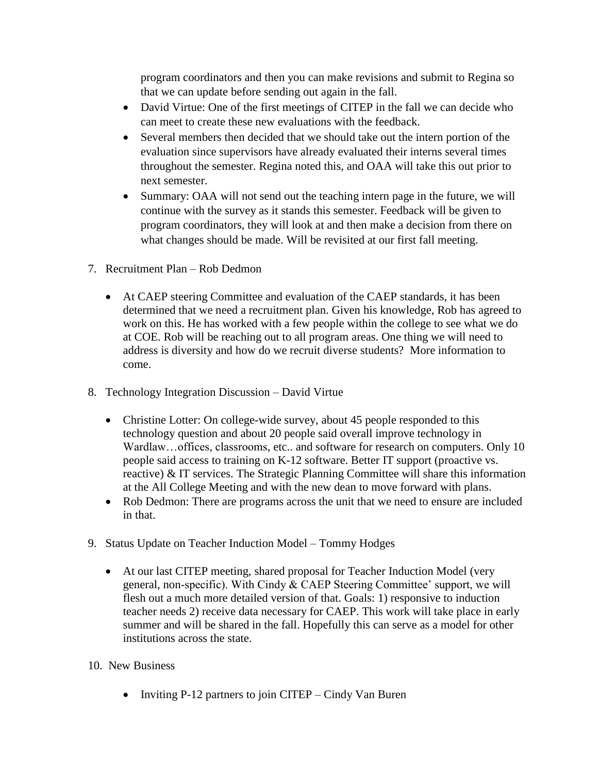program coordinators and then you can make revisions and submit to Regina so that we can update before sending out again in the fall.

- David Virtue: One of the first meetings of CITEP in the fall we can decide who can meet to create these new evaluations with the feedback.
- Several members then decided that we should take out the intern portion of the evaluation since supervisors have already evaluated their interns several times throughout the semester. Regina noted this, and OAA will take this out prior to next semester.
- Summary: OAA will not send out the teaching intern page in the future, we will continue with the survey as it stands this semester. Feedback will be given to program coordinators, they will look at and then make a decision from there on what changes should be made. Will be revisited at our first fall meeting.
- 7. Recruitment Plan Rob Dedmon
	- At CAEP steering Committee and evaluation of the CAEP standards, it has been determined that we need a recruitment plan. Given his knowledge, Rob has agreed to work on this. He has worked with a few people within the college to see what we do at COE. Rob will be reaching out to all program areas. One thing we will need to address is diversity and how do we recruit diverse students? More information to come.
- 8. Technology Integration Discussion David Virtue
	- Christine Lotter: On college-wide survey, about 45 people responded to this technology question and about 20 people said overall improve technology in Wardlaw...offices, classrooms, etc.. and software for research on computers. Only 10 people said access to training on K-12 software. Better IT support (proactive vs. reactive) & IT services. The Strategic Planning Committee will share this information at the All College Meeting and with the new dean to move forward with plans.
	- Rob Dedmon: There are programs across the unit that we need to ensure are included in that.
- 9. Status Update on Teacher Induction Model Tommy Hodges
	- At our last CITEP meeting, shared proposal for Teacher Induction Model (very general, non-specific). With Cindy & CAEP Steering Committee' support, we will flesh out a much more detailed version of that. Goals: 1) responsive to induction teacher needs 2) receive data necessary for CAEP. This work will take place in early summer and will be shared in the fall. Hopefully this can serve as a model for other institutions across the state.
- 10. New Business
	- Inviting P-12 partners to join CITEP Cindy Van Buren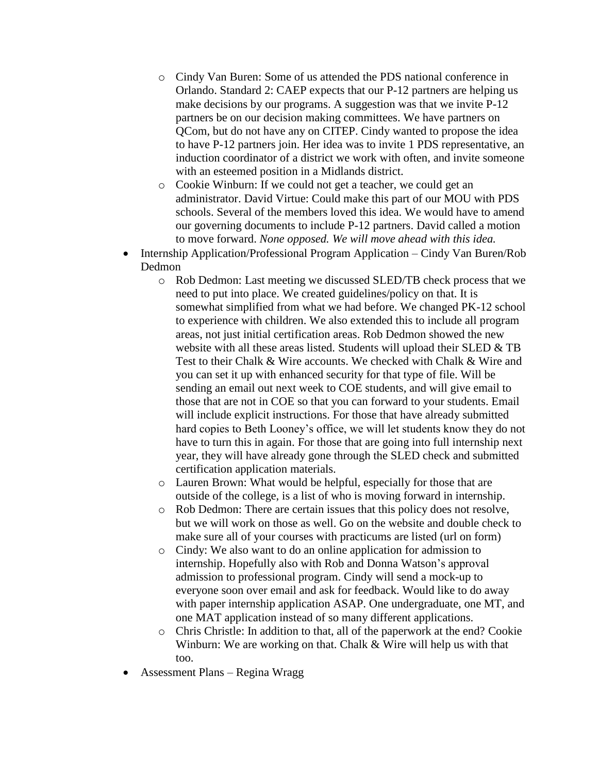- o Cindy Van Buren: Some of us attended the PDS national conference in Orlando. Standard 2: CAEP expects that our P-12 partners are helping us make decisions by our programs. A suggestion was that we invite P-12 partners be on our decision making committees. We have partners on QCom, but do not have any on CITEP. Cindy wanted to propose the idea to have P-12 partners join. Her idea was to invite 1 PDS representative, an induction coordinator of a district we work with often, and invite someone with an esteemed position in a Midlands district.
- o Cookie Winburn: If we could not get a teacher, we could get an administrator. David Virtue: Could make this part of our MOU with PDS schools. Several of the members loved this idea. We would have to amend our governing documents to include P-12 partners. David called a motion to move forward. *None opposed. We will move ahead with this idea.*
- Internship Application/Professional Program Application Cindy Van Buren/Rob Dedmon
	- o Rob Dedmon: Last meeting we discussed SLED/TB check process that we need to put into place. We created guidelines/policy on that. It is somewhat simplified from what we had before. We changed PK-12 school to experience with children. We also extended this to include all program areas, not just initial certification areas. Rob Dedmon showed the new website with all these areas listed. Students will upload their SLED & TB Test to their Chalk & Wire accounts. We checked with Chalk & Wire and you can set it up with enhanced security for that type of file. Will be sending an email out next week to COE students, and will give email to those that are not in COE so that you can forward to your students. Email will include explicit instructions. For those that have already submitted hard copies to Beth Looney's office, we will let students know they do not have to turn this in again. For those that are going into full internship next year, they will have already gone through the SLED check and submitted certification application materials.
	- o Lauren Brown: What would be helpful, especially for those that are outside of the college, is a list of who is moving forward in internship.
	- o Rob Dedmon: There are certain issues that this policy does not resolve, but we will work on those as well. Go on the website and double check to make sure all of your courses with practicums are listed (url on form)
	- o Cindy: We also want to do an online application for admission to internship. Hopefully also with Rob and Donna Watson's approval admission to professional program. Cindy will send a mock-up to everyone soon over email and ask for feedback. Would like to do away with paper internship application ASAP. One undergraduate, one MT, and one MAT application instead of so many different applications.
	- o Chris Christle: In addition to that, all of the paperwork at the end? Cookie Winburn: We are working on that. Chalk & Wire will help us with that too.
- Assessment Plans Regina Wragg